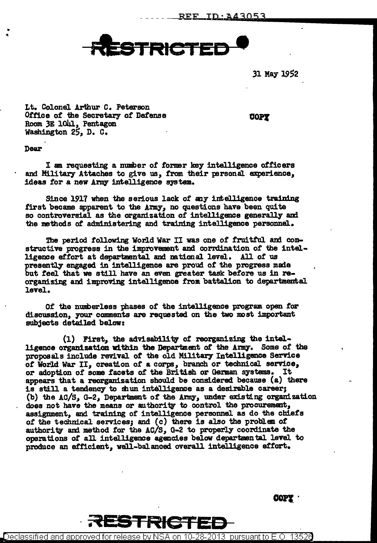

31 May 1952

Lt. Colonel Arthur c. Peterson Office of the Secretary of Defense Room 3E 1041, Pentagon Washington 25, D. C.

**COPY** 

Dear

• "

> I am requesting a number of former key intelligence officers and Military Attaches to give us, from their personal experience, ideas for a new Army intelligence system.

Since 1917 when the serious lack of any intelligence training first became apparent to the Army, no questions have been quite so controversial as the organization of intelligence generally am the methods of administering and training intelligence personnel.

The period following World War II was one of fruitful and constructive progress in the improvement and corrdination of the intelligence effort at departmental and national level. All of us presently engaged in intelligence are proud of the progress made but feel that we still have an even greater task before us in reorganizing and improving intelligence from battalion to departmental level.

Of the nunherless phases of the intelligence program open for discussion, your comments are requested on the two most important subjects detailed below:

(1) First, the advisability of reorganizing the intelligence organization within the Department of the Army. Some of the proposals include revival of the old Military Intelligence Service of World War II, creation of a corps, branch or technical service, or adoption of some facets of the British or German systems. It appears that a reorganization should be considered because (a) there is still a tendency to shun intelligence as a desirable career; (b) the AC/S, G-2, Depar'lment *ot* the *Army,* under existing organization does not have the means or authority to control the procurement, assignment, and training of intelligence personnel as do the chiefs *ot* the technical serviceSJ and (c) there is also the problem *ot*  authority and method for the  $AC/S$ , G-2 to properly coordinate the operations of all intelligence agencies below departmental level to produce an efficient, well-balanced overall intelligence effort.

COPY ·